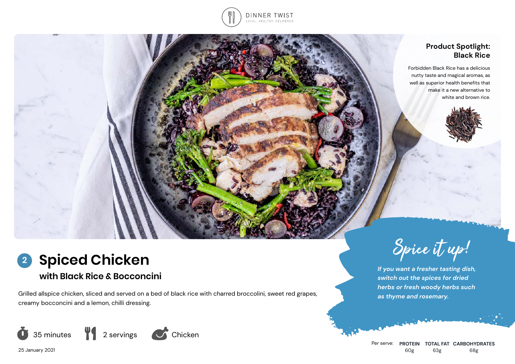

### **Product Spotlight: Black Rice**

Forbidden Black Rice has a delicious nutty taste and magical aromas, as well as superior health benefits that make it a new alternative to white and brown rice.





# **with Black Rice & Bocconcini**

Grilled allspice chicken, sliced and served on a bed of black rice with charred broccolini, sweet red grapes, creamy bocconcini and a lemon, chilli dressing.





*If you want a fresher tasting dish, switch out the spices for dried herbs or fresh woody herbs such as thyme and rosemary.*